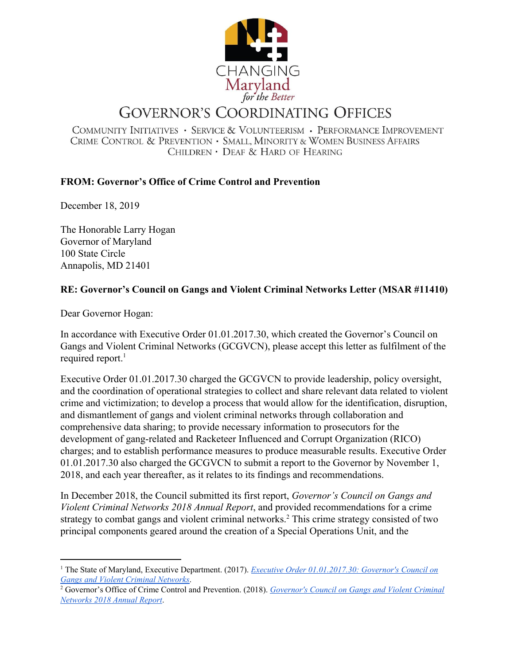

## **GOVERNOR'S COORDINATING OFFICES**

COMMUNITY INITIATIVES · SERVICE & VOLUNTEERISM · PERFORMANCE IMPROVEMENT CRIME CONTROL & PREVENTION · SMALL, MINORITY & WOMEN BUSINESS AFFAIRS CHILDREN · DEAF & HARD OF HEARING

## **FROM: Governor's Office of Crime Control and Prevention**

December 18, 2019

The Honorable Larry Hogan Governor of Maryland 100 State Circle Annapolis, MD 21401

## **RE: Governor's Council on Gangs and Violent Criminal Networks Letter (MSAR #11410)**

Dear Governor Hogan:

In accordance with Executive Order 01.01.2017.30, which created the Governor's Council on Gangs and Violent Criminal Networks (GCGVCN), please accept this letter as fulfilment of the required report.<sup>1</sup>

Executive Order 01.01.2017.30 charged the GCGVCN to provide leadership, policy oversight, and the coordination of operational strategies to collect and share relevant data related to violent crime and victimization; to develop a process that would allow for the identification, disruption, and dismantlement of gangs and violent criminal networks through collaboration and comprehensive data sharing; to provide necessary information to prosecutors for the development of gang-related and Racketeer Influenced and Corrupt Organization (RICO) charges; and to establish performance measures to produce measurable results. Executive Order 01.01.2017.30 also charged the GCGVCN to submit a report to the Governor by November 1, 2018, and each year thereafter, as it relates to its findings and recommendations.

In December 2018, the Council submitted its first report, *Governor's Council on Gangs and Violent Criminal Networks 2018 Annual Report*, and provided recommendations for a crime strategy to combat gangs and violent criminal networks.<sup>2</sup> This crime strategy consisted of two principal components geared around the creation of a Special Operations Unit, and the

<sup>1</sup> The State of Maryland, Executive Department. (2017). *Executive Order [01.01.2017.30:](https://content.govdelivery.com/attachments/MDGOV/2017/12/05/file_attachments/923994/Executive%2BOrder%2B01.01.2017.30.pdf) Governor's Council on Gangs and Violent Criminal [Networks](https://content.govdelivery.com/attachments/MDGOV/2017/12/05/file_attachments/923994/Executive%2BOrder%2B01.01.2017.30.pdf)*.

<sup>2</sup> Governor's Office of Crime Control and Prevention. (2018). *[Governor's](http://goccp.maryland.gov/wp-content/uploads/GCGVCN-Annual-Report-2018.pdf) Council on Gangs and Violent Criminal [Networks](http://goccp.maryland.gov/wp-content/uploads/GCGVCN-Annual-Report-2018.pdf) 2018 Annual Report*.